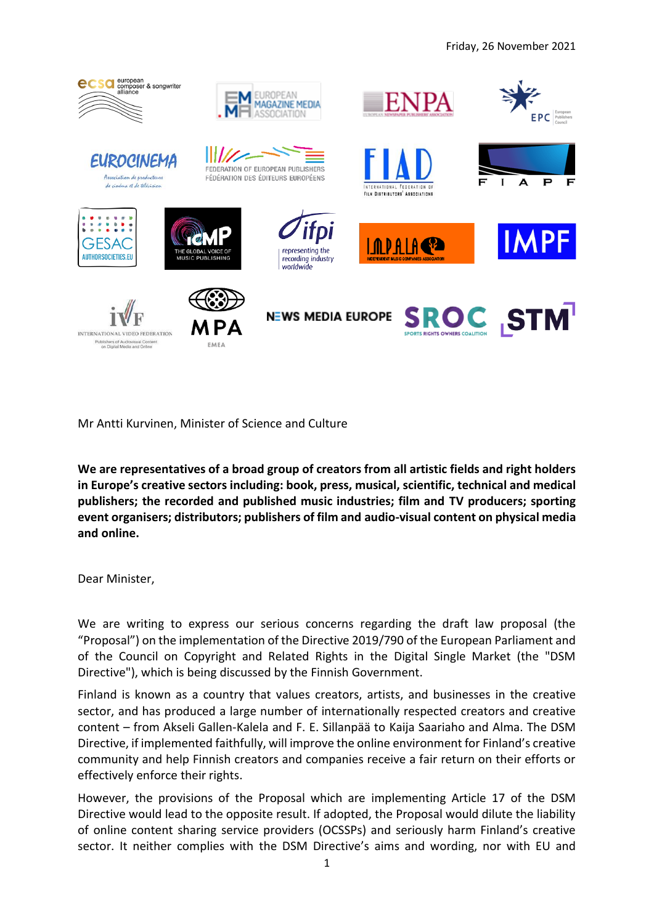

Mr Antti Kurvinen, Minister of Science and Culture

**We are representatives of a broad group of creators from all artistic fields and right holders in Europe's creative sectors including: book, press, musical, scientific, technical and medical publishers; the recorded and published music industries; film and TV producers; sporting event organisers; distributors; publishers of film and audio-visual content on physical media and online.** 

Dear Minister,

We are writing to express our serious concerns regarding the draft law proposal (the "Proposal") on the implementation of the Directive 2019/790 of the European Parliament and of the Council on Copyright and Related Rights in the Digital Single Market (the "DSM Directive"), which is being discussed by the Finnish Government.

Finland is known as a country that values creators, artists, and businesses in the creative sector, and has produced a large number of internationally respected creators and creative content – from Akseli Gallen-Kalela and F. E. Sillanpää to Kaija Saariaho and Alma. The DSM Directive, if implemented faithfully, will improve the online environment for Finland's creative community and help Finnish creators and companies receive a fair return on their efforts or effectively enforce their rights.

However, the provisions of the Proposal which are implementing Article 17 of the DSM Directive would lead to the opposite result. If adopted, the Proposal would dilute the liability of online content sharing service providers (OCSSPs) and seriously harm Finland's creative sector. It neither complies with the DSM Directive's aims and wording, nor with EU and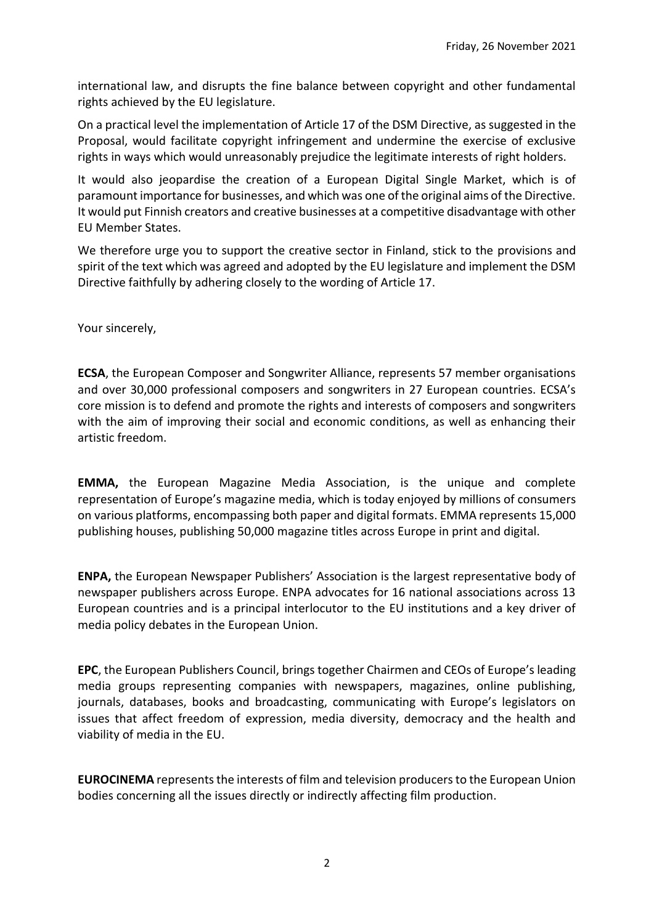international law, and disrupts the fine balance between copyright and other fundamental rights achieved by the EU legislature.

On a practical level the implementation of Article 17 of the DSM Directive, as suggested in the Proposal, would facilitate copyright infringement and undermine the exercise of exclusive rights in ways which would unreasonably prejudice the legitimate interests of right holders.

It would also jeopardise the creation of a European Digital Single Market, which is of paramount importance for businesses, and which was one of the original aims of the Directive. It would put Finnish creators and creative businesses at a competitive disadvantage with other EU Member States.

We therefore urge you to support the creative sector in Finland, stick to the provisions and spirit of the text which was agreed and adopted by the EU legislature and implement the DSM Directive faithfully by adhering closely to the wording of Article 17.

Your sincerely,

**ECSA**, the European Composer and Songwriter Alliance, represents 57 member organisations and over 30,000 professional composers and songwriters in 27 European countries. ECSA's core mission is to defend and promote the rights and interests of composers and songwriters with the aim of improving their social and economic conditions, as well as enhancing their artistic freedom.

**EMMA,** the European Magazine Media Association, is the unique and complete representation of Europe's magazine media, which is today enjoyed by millions of consumers on various platforms, encompassing both paper and digital formats. EMMA represents 15,000 publishing houses, publishing 50,000 magazine titles across Europe in print and digital.

**ENPA,** the European Newspaper Publishers' Association is the largest representative body of newspaper publishers across Europe. ENPA advocates for 16 national associations across 13 European countries and is a principal interlocutor to the EU institutions and a key driver of media policy debates in the European Union.

**EPC**, the European Publishers Council, brings together Chairmen and CEOs of Europe's leading media groups representing companies with newspapers, magazines, online publishing, journals, databases, books and broadcasting, communicating with Europe's legislators on issues that affect freedom of expression, media diversity, democracy and the health and viability of media in the EU.

**EUROCINEMA** represents the interests of film and television producers to the European Union bodies concerning all the issues directly or indirectly affecting film production.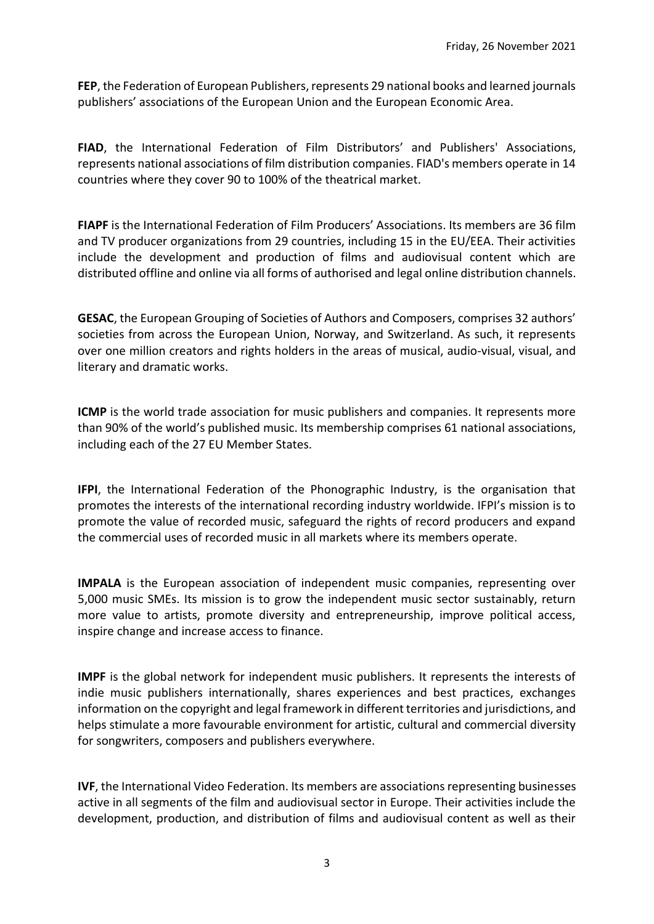**FEP**, the Federation of European Publishers, represents 29 national books and learned journals publishers' associations of the European Union and the European Economic Area.

**FIAD**, the International Federation of Film Distributors' and Publishers' Associations, represents national associations of film distribution companies. FIAD's members operate in 14 countries where they cover 90 to 100% of the theatrical market.

**FIAPF** is the International Federation of Film Producers' Associations. Its members are 36 film and TV producer organizations from 29 countries, including 15 in the EU/EEA. Their activities include the development and production of films and audiovisual content which are distributed offline and online via all forms of authorised and legal online distribution channels.

**GESAC**, the European Grouping of Societies of Authors and Composers, comprises 32 authors' societies from across the European Union, Norway, and Switzerland. As such, it represents over one million creators and rights holders in the areas of musical, audio-visual, visual, and literary and dramatic works.

**ICMP** is the world trade association for music publishers and companies. It represents more than 90% of the world's published music. Its membership comprises 61 national associations, including each of the 27 EU Member States.

**IFPI**, the International Federation of the Phonographic Industry, is the organisation that promotes the interests of the international recording industry worldwide. IFPI's mission is to promote the value of recorded music, safeguard the rights of record producers and expand the commercial uses of recorded music in all markets where its members operate.

**IMPALA** is the European association of independent music companies, representing over 5,000 music SMEs. Its mission is to grow the independent music sector sustainably, return more value to artists, promote diversity and entrepreneurship, improve political access, inspire change and increase access to finance.

**IMPF** is the global network for independent music publishers. It represents the interests of indie music publishers internationally, shares experiences and best practices, exchanges information on the copyright and legal framework in different territories and jurisdictions, and helps stimulate a more favourable environment for artistic, cultural and commercial diversity for songwriters, composers and publishers everywhere.

**IVF**, the International Video Federation. Its members are associations representing businesses active in all segments of the film and audiovisual sector in Europe. Their activities include the development, production, and distribution of films and audiovisual content as well as their